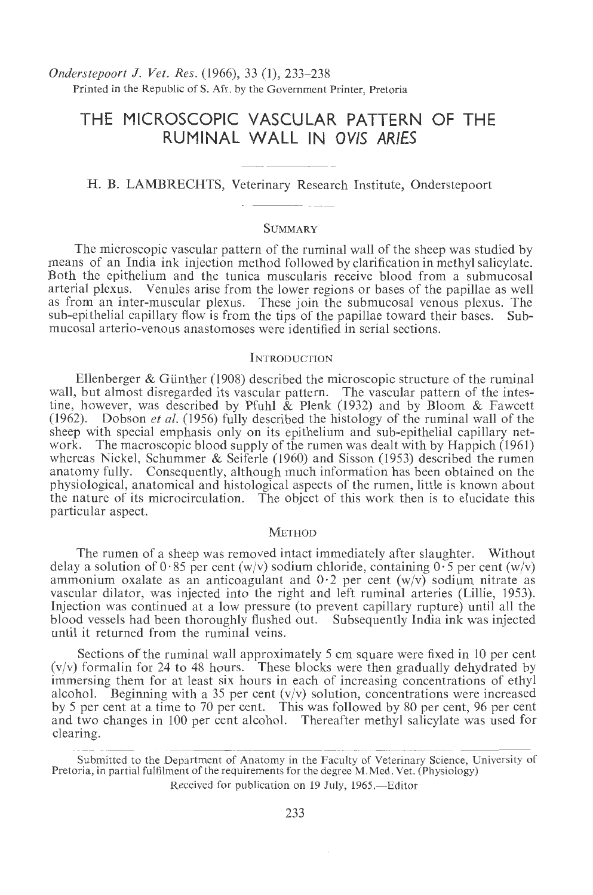*Onderstepoort* J. *Vet. Res.* (1966), 33 (1), 233-238 Printed in the Republic of S. Afr. by the Government Printer, Pretoria

# **THE MICROSCOPIC VASCULAR PATTERN OF THE RUMINAL WALL IN OV/S ARIES**

## H. B. LAMBRECHTS, Veterinary Research Institute, Onderstepoort

#### **SUMMARY**

The microscopic vascular pattern of the ruminal wall of the sheep was studied by means of an India ink injection method followed by clarification in methyl salicylate. Both the epithelium and the tunica muscularis receive blood from a submucosal arterial plexus. Venules arise from the lower regions or bases of the papillae as well Venules arise from the lower regions or bases of the papillae as well as from an inter-muscular plexus. These join the submucosal venous plexus. The sub-epithelial capillary flow is from the tips of the papillae toward their bases. Submucosal arterio-venous anastomoses were identified in serial sections.

## INTRODUCTION

Ellenberger  $\&$  Günther (1908) described the microscopic structure of the ruminal wall, but almost disregarded its vascular pattern. The vascular pattern of the intestine, however, was described by Pfuhl & Plenk (1932) and by Bloom & Fawcett (1962). Dobson *eta!.* (1956) fully described the histology of the rumina! wall of the sheep with special emphasis only on its epithelium and sub-epithelial capillary network. The macroscopic blood supply of the rumen was dealt with by Happich (1961) whereas Nickel, Schummer & Seiferle (1960) and Sisson (1953) described the rumen anatomy fully. Consequently, although much information has been obtained on the physiological, anatomical and histological aspects of the rumen, little is known about the nature of its microcirculation. The object of this work then is to elucidate this particular aspect.

#### **METHOD**

The rumen of a sheep was removed intact immediately after slaughter. Without delay a solution of  $0.85$  per cent (w/v) sodium chloride, containing  $0.5$  per cent (w/v) ammonium oxalate as an anticoagulant and  $0.2$  per cent  $(w/v)$  sodium nitrate as vascular dilator, was injected into the right and left rumina! arteries (Lillie, 1953). Injection was continued at a low pressure (to prevent capillary rupture) until all the blood vessels had been thoroughly flushed out. Subsequently India ink was injected until it returned from the rumina! veins.

Sections of the ruminal wall approximately 5 cm square were fixed in 10 per cent  $(v/v)$  formalin for 24 to 48 hours. These blocks were then gradually dehydrated by immersing them for at least six hours in each of increasing concentrations of ethyl alcohol. Beginning with a 35 per cent  $(v/v)$  solution, concentrations were increased by 5 per cent at a time to 70 per cent. This was followed by 80 per cent, 96 per cent and two changes in 100 per cent alcohol. Thereafter methyl salicylate was used for clearing.

Submitted to the Department of Anatomy in the Faculty of Veterinary Science, University of Pretoria, in partial fulfilment of the requirements for the degree M.Med. Vet. (Physiology)

Received for publication on 19 July, 1965.—Editor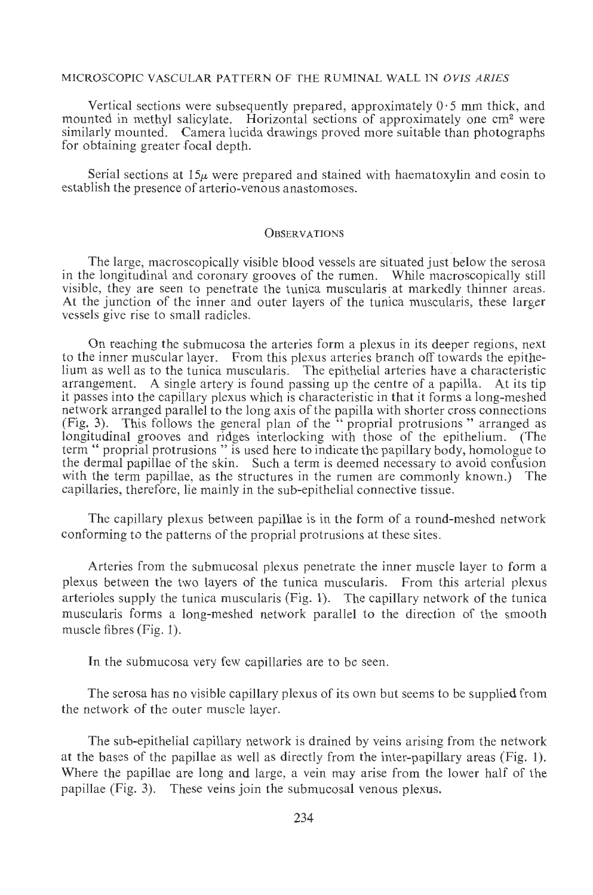## MICROSCOPIC VASCULAR PATTERN OF THE RUMINAL WALL lN *OVJS ARIES*

Vertical sections were subsequently prepared, approximately  $0.5$  mm thick, and mounted in methyl salicylate. Horizontal sections of approximately one cm<sup>2</sup> were similarly mounted. Camera Iucida drawings proved more suitable than photographs for obtaining greater focal depth.

Serial sections at  $15\mu$  were prepared and stained with haematoxylin and eosin to establish the presence of arterio-venous anastomoses.

#### **OBSERVATIONS**

The large, macroscopically visible blood vessels are situated just below the serosa in the longitudinal and coronary grooves of the rumen. While macroscopically still visible, they are seen to penetrate the tunica muscularis at markedly thinner areas. At the junction of the inner and outer layers of the tunica muscularis, these larger vessels give rise to small radicles.

On reaching the submucosa the arteries form a plexus in its deeper regions, next to the inner muscular layer. From this plexus arteries branch off towards the epithelium as well as to the tunica muscularis. The epithelial arteries have a characteristic arrangement. A single artery is found passing up the centre of a papilla. At its tip it passes into the capillary plexus which is characteristic in that it forms a long-meshed network arranged parallel to the long axis of the papilla with shorter cross connections (Fig. 3). This follows the general plan of the " propria! protrusions " arranged as longitudinal grooves and ridges interlocking with those of the epithelium. (The term " propria! protrusions " is used here to indicate the papillary body, homologue to the dermal papillae of the skin. Such a term is deemed necessary to avoid confusion with the term papillae, as the structures in the rumen are commonly known.) The capillaries, therefore, lie mainly in the sub-epithelial connective tissue.

The capillary plexus between papillae is in the form of a round-meshed network conforming to the patterns of the proprial protrusions at these sites.

Arteries from the submucosal plexus penetrate the inner muscle layer to form a plexus between the two layers of the tunica muscularis. From this arterial plexus arterioles supply the tunica muscularis (Fig. 1). The capillary network of the tunica muscularis forms a long-meshed network parallel to the direction of the smooth muscle fibres (Fig. 1).

In the submucosa very few capillaries are to be seen.

The serosa has no visible capillary plexus of its own but seems to be supplied from the network of the outer muscle layer.

The sub-epithelial capillary network is drained by veins arising from the network at the bases of the papillae as well as directly from the inter-papillary areas (Fig. 1). Where the papillae are long and large, a vein may arise from the lower half of the papillae (Fig. 3). These veins join the submucosal venous plexus.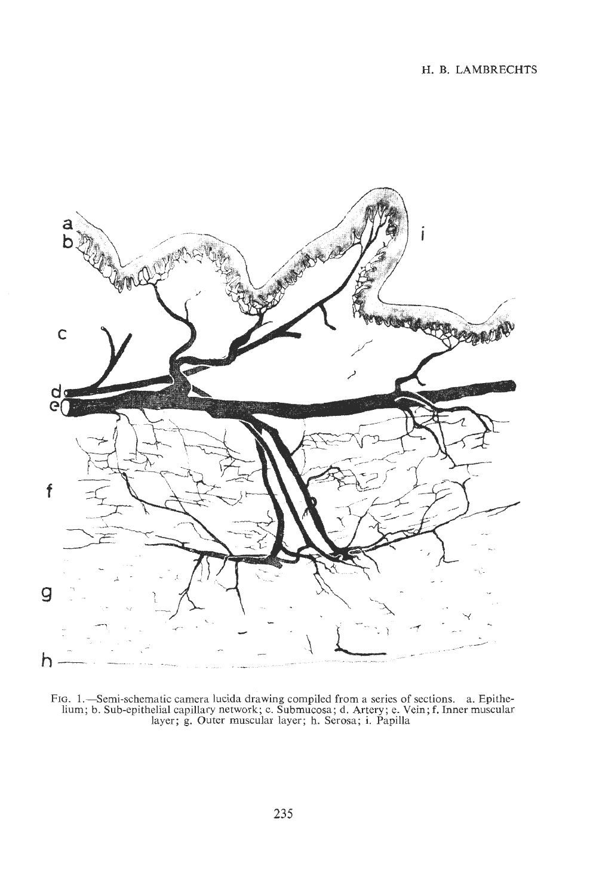

FIG. 1.—Semi-schematic camera lucida drawing compiled from a series of sections. a. Epithelium; b. Sub-epithelial capillary network; c. Submucosa; d. Artery; e. Vein; f. Inner muscular layer; g. Outer muscular layer; h. Se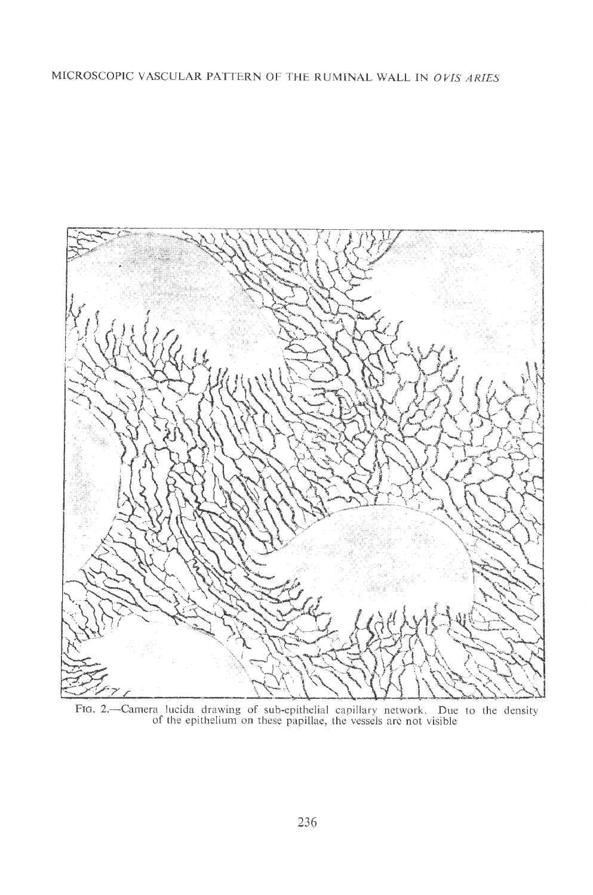## MICROSCOPIC VASCULAR PATTERN OF THE RUMINAL WALL IN *OVIS ARIES*



FIG. 2.—Camera lucida drawing of sub-epithelial capillary network. Due to the density<br>of the epithelium on these papillae, the vessels are not visible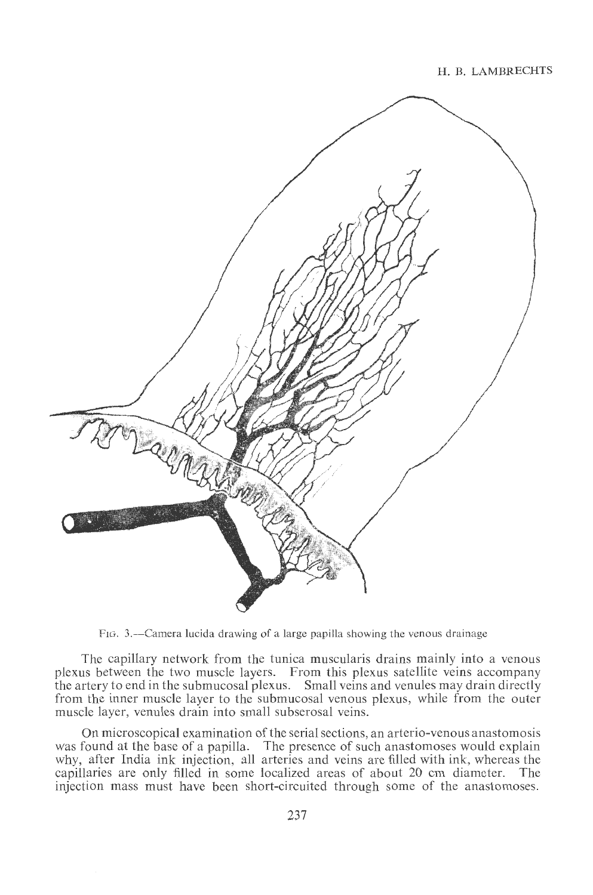

FIG. 3.-Camera Iucida drawing of a large papilla showing the venous drainage

The capillary network from the tunica muscularis drains mainly into a venous plexus between the two muscle layers. From this plexus satellite veins accompany the artery to end in the submucosal plexus. Small veins and venules may drain directly from the inner muscle layer to the submucosal venous plexus, while from the outer muscle layer, venules drain into small subserosal veins.

On microscopical examination of the serial sections, an arterio-venous anastomosis was found at the base of a papilla. The presence of such anastomoses would explain why, after India ink injection, all arteries and veins are filled with ink, whereas the capillaries are only filled in some localized areas of about 20 em diameter. The injection mass must have been short-circuited through some of the anastomoses.